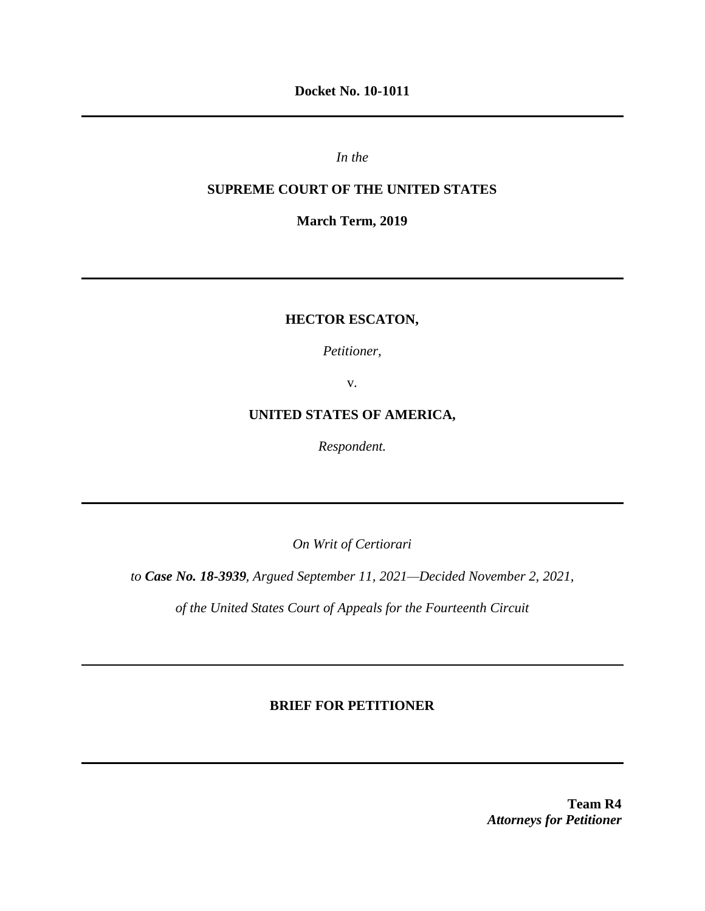**Docket No. 10-1011**

*In the* 

## **SUPREME COURT OF THE UNITED STATES**

**March Term, 2019**

# **HECTOR ESCATON,**

*Petitioner,*

v.

# **UNITED STATES OF AMERICA,**

*Respondent.*

*On Writ of Certiorari*

*to Case No. 18-3939, Argued September 11, 2021—Decided November 2, 2021,*

*of the United States Court of Appeals for the Fourteenth Circuit*

### **BRIEF FOR PETITIONER**

**Team R4** *Attorneys for Petitioner*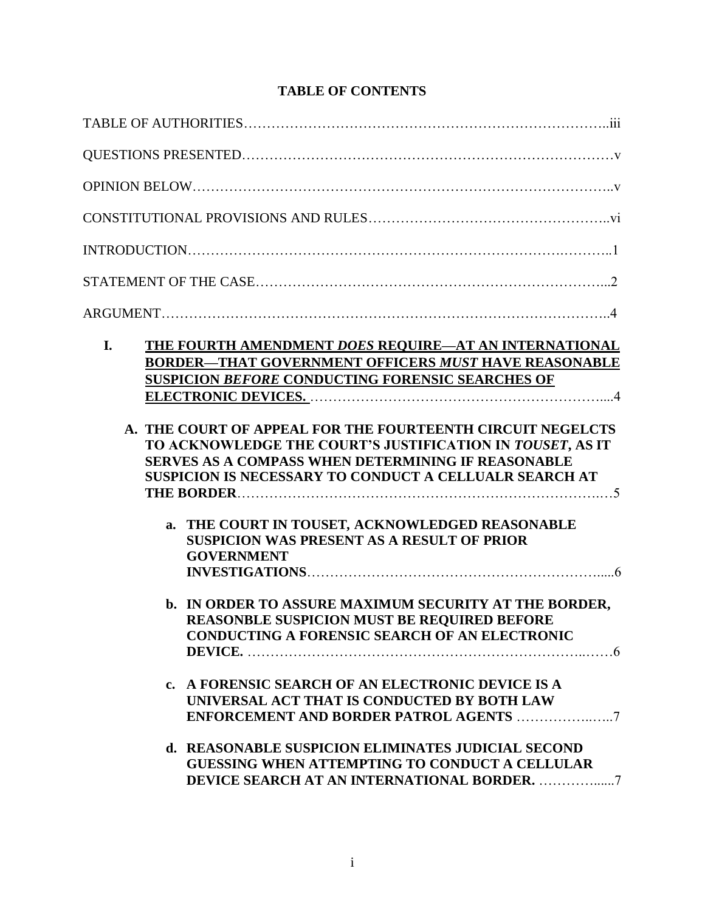# **TABLE OF CONTENTS**

| THE FOURTH AMENDMENT DOES REQUIRE-AT AN INTERNATIONAL<br><b>BORDER-THAT GOVERNMENT OFFICERS MUST HAVE REASONABLE</b><br><b>SUSPICION BEFORE CONDUCTING FORENSIC SEARCHES OF</b><br>A. THE COURT OF APPEAL FOR THE FOURTEENTH CIRCUIT NEGELCTS<br>TO ACKNOWLEDGE THE COURT'S JUSTIFICATION IN TOUSET, AS IT<br><b>SERVES AS A COMPASS WHEN DETERMINING IF REASONABLE</b><br>SUSPICION IS NECESSARY TO CONDUCT A CELLUALR SEARCH AT<br>a. THE COURT IN TOUSET, ACKNOWLEDGED REASONABLE<br><b>SUSPICION WAS PRESENT AS A RESULT OF PRIOR</b><br><b>GOVERNMENT</b><br>b. IN ORDER TO ASSURE MAXIMUM SECURITY AT THE BORDER,<br><b>REASONBLE SUSPICION MUST BE REOUIRED BEFORE</b><br><b>CONDUCTING A FORENSIC SEARCH OF AN ELECTRONIC</b> |
|---------------------------------------------------------------------------------------------------------------------------------------------------------------------------------------------------------------------------------------------------------------------------------------------------------------------------------------------------------------------------------------------------------------------------------------------------------------------------------------------------------------------------------------------------------------------------------------------------------------------------------------------------------------------------------------------------------------------------------------|
| c. A FORENSIC SEARCH OF AN ELECTRONIC DEVICE IS A<br>UNIVERSAL ACT THAT IS CONDUCTED BY BOTH LAW<br>d. REASONABLE SUSPICION ELIMINATES JUDICIAL SECOND<br><b>GUESSING WHEN ATTEMPTING TO CONDUCT A CELLULAR</b>                                                                                                                                                                                                                                                                                                                                                                                                                                                                                                                       |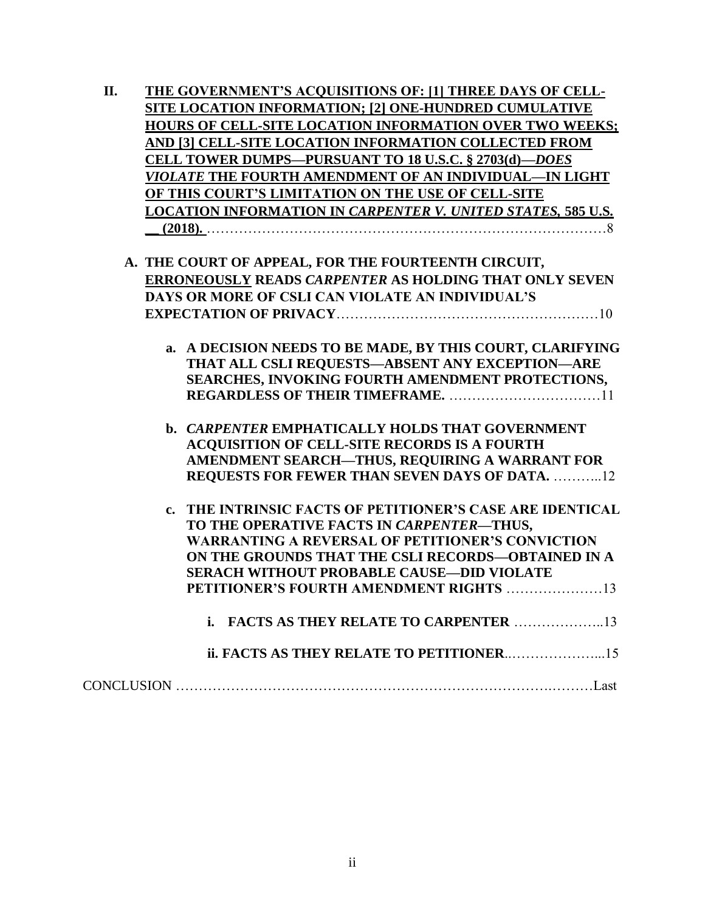| II. | THE GOVERNMENT'S ACQUISITIONS OF: [1] THREE DAYS OF CELL-           |
|-----|---------------------------------------------------------------------|
|     | <b>SITE LOCATION INFORMATION; [2] ONE-HUNDRED CUMULATIVE</b>        |
|     | HOURS OF CELL-SITE LOCATION INFORMATION OVER TWO WEEKS;             |
|     | AND [3] CELL-SITE LOCATION INFORMATION COLLECTED FROM               |
|     | <b>CELL TOWER DUMPS-PURSUANT TO 18 U.S.C. § 2703(d)-DOES</b>        |
|     | <i>VIOLATE</i> THE FOURTH AMENDMENT OF AN INDIVIDUAL—IN LIGHT       |
|     | OF THIS COURT'S LIMITATION ON THE USE OF CELL-SITE                  |
|     | <b>LOCATION INFORMATION IN CARPENTER V. UNITED STATES, 585 U.S.</b> |
|     |                                                                     |
|     |                                                                     |
|     | A. THE COURT OF APPEAL, FOR THE FOURTEENTH CIRCUIT,                 |
|     | ERRONEOUSLY READS CARPENTER AS HOLDING THAT ONLY SEVEN              |
|     | DAYS OR MORE OF CSLI CAN VIOLATE AN INDIVIDUAL'S                    |
|     |                                                                     |
|     |                                                                     |
|     | a. A DECISION NEEDS TO BE MADE, BY THIS COURT, CLARIFYING           |
|     | THAT ALL CSLI REQUESTS-ABSENT ANY EXCEPTION-ARE                     |
|     | SEARCHES, INVOKING FOURTH AMENDMENT PROTECTIONS,                    |
|     |                                                                     |
|     |                                                                     |
|     | <b>b. CARPENTER EMPHATICALLY HOLDS THAT GOVERNMENT</b>              |
|     | ACQUISITION OF CELL-SITE RECORDS IS A FOURTH                        |
|     | AMENDMENT SEARCH-THUS, REQUIRING A WARRANT FOR                      |
|     | <b>REQUESTS FOR FEWER THAN SEVEN DAYS OF DATA. 12</b>               |
|     |                                                                     |
|     | c. THE INTRINSIC FACTS OF PETITIONER'S CASE ARE IDENTICAL           |
|     | TO THE OPERATIVE FACTS IN CARPENTER-THUS,                           |
|     | <b>WARRANTING A REVERSAL OF PETITIONER'S CONVICTION</b>             |
|     | ON THE GROUNDS THAT THE CSLI RECORDS-OBTAINED IN A                  |
|     | <b>SERACH WITHOUT PROBABLE CAUSE-DID VIOLATE</b>                    |
|     | PETITIONER'S FOURTH AMENDMENT RIGHTS 13                             |
|     | <b>FACTS AS THEY RELATE TO CARPENTER 13</b><br>i.                   |
|     |                                                                     |
|     |                                                                     |
|     |                                                                     |
|     |                                                                     |
|     |                                                                     |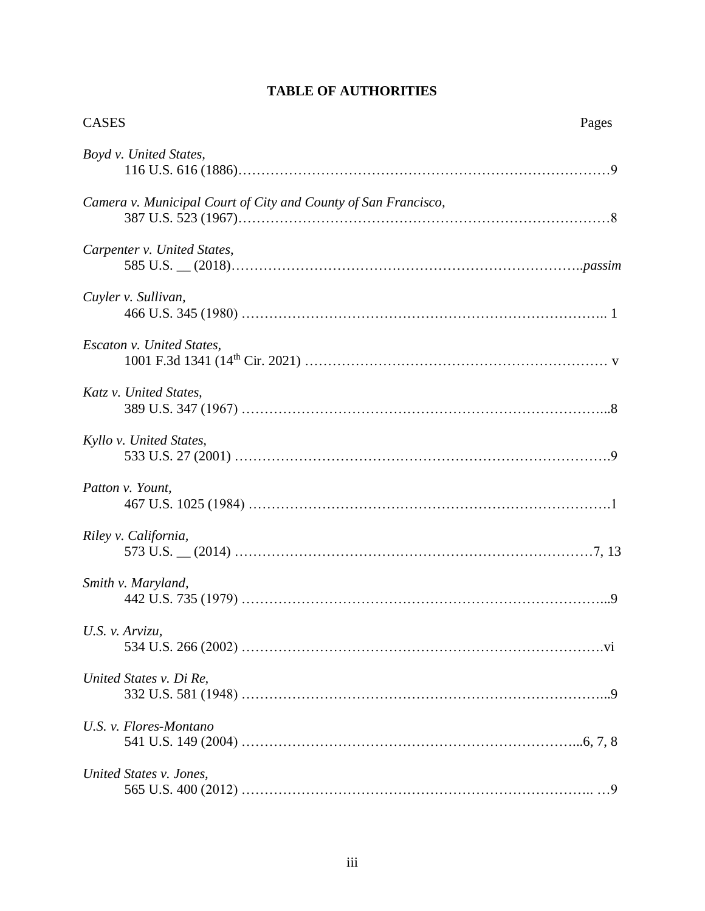| <b>CASES</b>                                                   | Pages |
|----------------------------------------------------------------|-------|
| Boyd v. United States,                                         |       |
| Camera v. Municipal Court of City and County of San Francisco, |       |
| Carpenter v. United States,                                    |       |
| Cuyler v. Sullivan,                                            |       |
| Escaton v. United States,                                      |       |
| Katz v. United States,                                         |       |
| Kyllo v. United States,                                        |       |
| Patton v. Yount,                                               |       |
| Riley v. California,                                           |       |
| Smith v. Maryland,                                             |       |
| U.S. $\nu$ . Arvizu,                                           |       |
| United States v. Di Re,                                        |       |
| U.S. v. Flores-Montano                                         |       |
| United States v. Jones,                                        |       |

# **TABLE OF AUTHORITIES**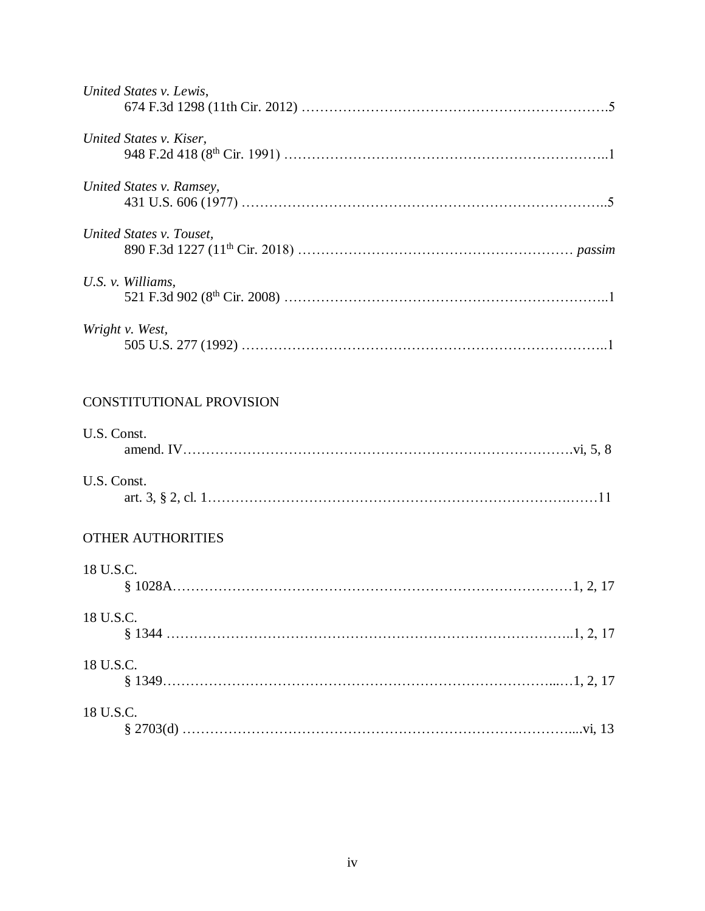| United States v. Lewis,  |  |
|--------------------------|--|
| United States v. Kiser,  |  |
| United States v. Ramsey, |  |
| United States v. Touset, |  |
| U.S. v. Williams,        |  |
| Wright v. West,          |  |
| CONSTITUTIONAL PROVISION |  |
| U.S. Const.              |  |
| U.S. Const.              |  |
| <b>OTHER AUTHORITIES</b> |  |
| 18 U.S.C.                |  |
| 18 U.S.C.                |  |
| 18 U.S.C.                |  |
| 18 U.S.C.                |  |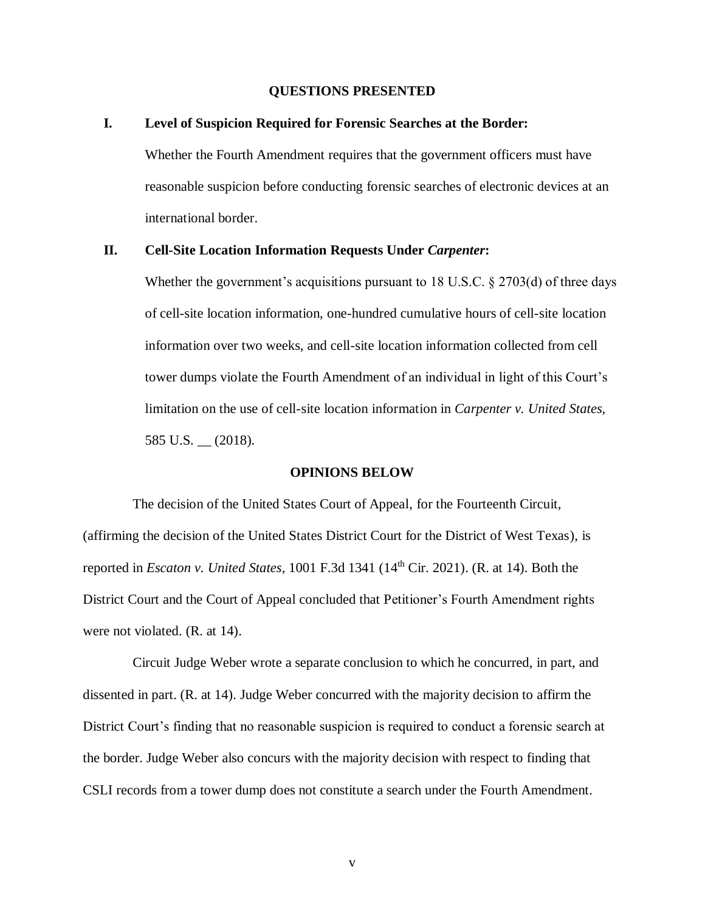### **QUESTIONS PRESENTED**

### **I. Level of Suspicion Required for Forensic Searches at the Border:**

Whether the Fourth Amendment requires that the government officers must have reasonable suspicion before conducting forensic searches of electronic devices at an international border.

### **II. Cell-Site Location Information Requests Under** *Carpenter***:**

Whether the government's acquisitions pursuant to 18 U.S.C.  $\S 2703(d)$  of three days of cell-site location information, one-hundred cumulative hours of cell-site location information over two weeks, and cell-site location information collected from cell tower dumps violate the Fourth Amendment of an individual in light of this Court's limitation on the use of cell-site location information in *Carpenter v. United States,*  585 U.S. \_\_ (2018).

### **OPINIONS BELOW**

The decision of the United States Court of Appeal, for the Fourteenth Circuit, (affirming the decision of the United States District Court for the District of West Texas), is reported in *Escaton v. United States,* 1001 F.3d 1341 (14th Cir. 2021). (R. at 14). Both the District Court and the Court of Appeal concluded that Petitioner's Fourth Amendment rights were not violated. (R. at 14).

Circuit Judge Weber wrote a separate conclusion to which he concurred, in part, and dissented in part. (R. at 14). Judge Weber concurred with the majority decision to affirm the District Court's finding that no reasonable suspicion is required to conduct a forensic search at the border. Judge Weber also concurs with the majority decision with respect to finding that CSLI records from a tower dump does not constitute a search under the Fourth Amendment.

v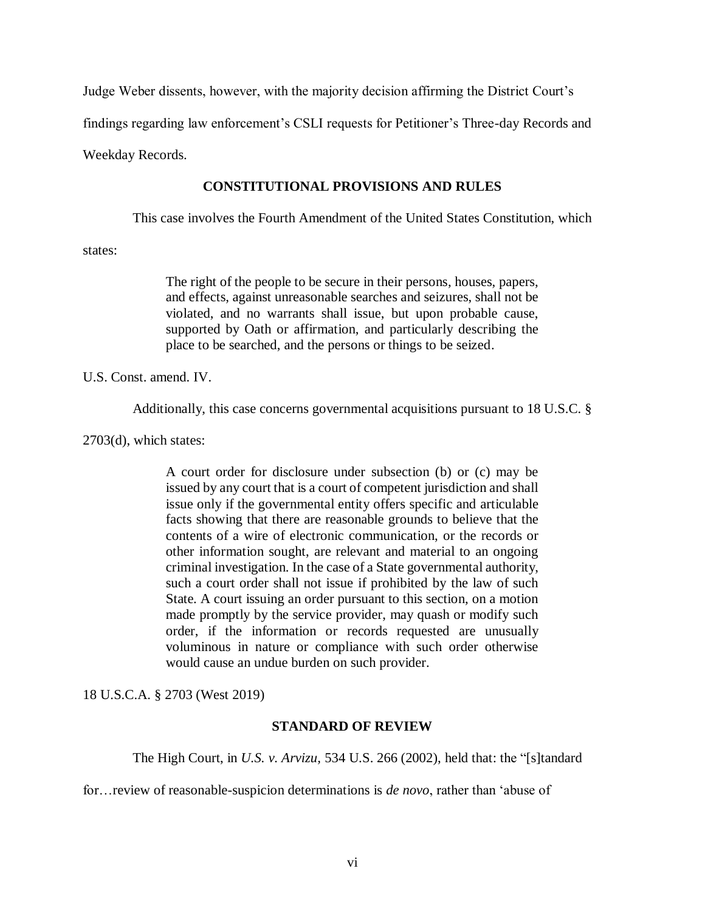Judge Weber dissents, however, with the majority decision affirming the District Court's

findings regarding law enforcement's CSLI requests for Petitioner's Three-day Records and

Weekday Records.

### **CONSTITUTIONAL PROVISIONS AND RULES**

This case involves the Fourth Amendment of the United States Constitution, which

states:

The right of the people to be secure in their persons, houses, papers, and effects, against unreasonable searches and seizures, shall not be violated, and no warrants shall issue, but upon probable cause, supported by Oath or affirmation, and particularly describing the place to be searched, and the persons or things to be seized.

U.S. Const. amend. IV.

Additionally, this case concerns governmental acquisitions pursuant to 18 U.S.C. §

2703(d), which states:

A court order for disclosure under subsection (b) or (c) may be issued by any court that is a court of competent jurisdiction and shall issue only if the governmental entity offers specific and articulable facts showing that there are reasonable grounds to believe that the contents of a wire of electronic communication, or the records or other information sought, are relevant and material to an ongoing criminal investigation. In the case of a State governmental authority, such a court order shall not issue if prohibited by the law of such State. A court issuing an order pursuant to this section, on a motion made promptly by the service provider, may quash or modify such order, if the information or records requested are unusually voluminous in nature or compliance with such order otherwise would cause an undue burden on such provider.

18 U.S.C.A. § 2703 (West 2019)

### **STANDARD OF REVIEW**

The High Court, in *U.S. v. Arvizu,* 534 U.S. 266 (2002), held that: the "[s]tandard

for…review of reasonable-suspicion determinations is *de novo*, rather than 'abuse of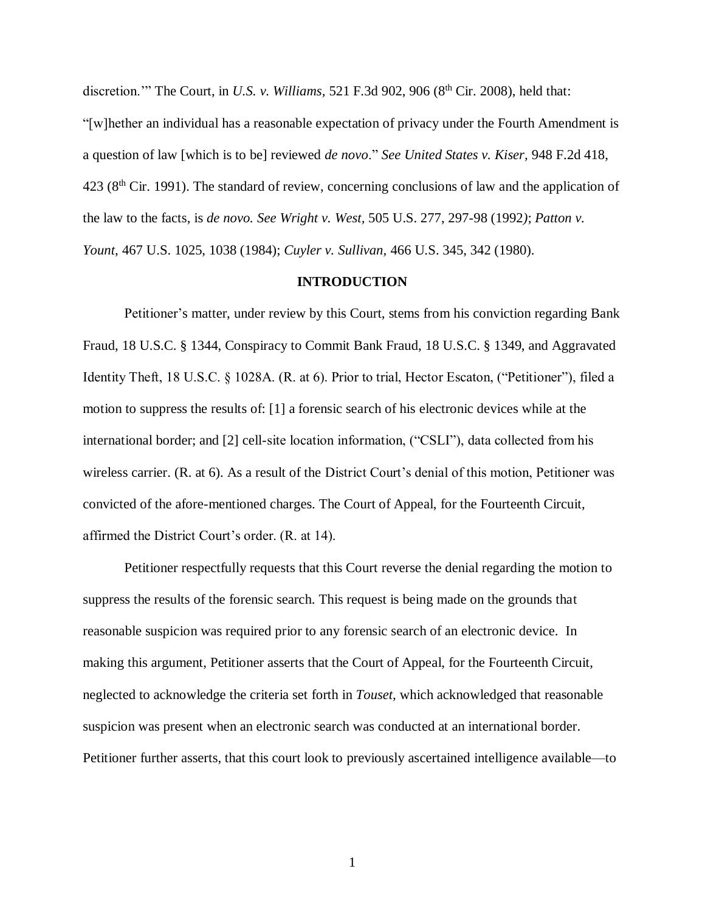discretion.'" The Court, in *U.S. v. Williams*, 521 F.3d 902, 906 (8<sup>th</sup> Cir. 2008), held that:

"[w]hether an individual has a reasonable expectation of privacy under the Fourth Amendment is a question of law [which is to be] reviewed *de novo*." *See United States v. Kiser,* 948 F.2d 418,  $423$  ( $8<sup>th</sup>$  Cir. 1991). The standard of review, concerning conclusions of law and the application of the law to the facts, is *de novo. See Wright v. West,* 505 U.S. 277, 297-98 (1992*)*; *Patton v. Yount,* 467 U.S. 1025, 1038 (1984); *Cuyler v. Sullivan,* 466 U.S. 345, 342 (1980).

#### **INTRODUCTION**

Petitioner's matter, under review by this Court, stems from his conviction regarding Bank Fraud, 18 U.S.C. § 1344, Conspiracy to Commit Bank Fraud, 18 U.S.C. § 1349, and Aggravated Identity Theft, 18 U.S.C. § 1028A. (R. at 6). Prior to trial, Hector Escaton, ("Petitioner"), filed a motion to suppress the results of: [1] a forensic search of his electronic devices while at the international border; and [2] cell-site location information, ("CSLI"), data collected from his wireless carrier. (R. at 6). As a result of the District Court's denial of this motion, Petitioner was convicted of the afore-mentioned charges. The Court of Appeal, for the Fourteenth Circuit, affirmed the District Court's order. (R. at 14).

Petitioner respectfully requests that this Court reverse the denial regarding the motion to suppress the results of the forensic search. This request is being made on the grounds that reasonable suspicion was required prior to any forensic search of an electronic device. In making this argument, Petitioner asserts that the Court of Appeal, for the Fourteenth Circuit, neglected to acknowledge the criteria set forth in *Touset,* which acknowledged that reasonable suspicion was present when an electronic search was conducted at an international border. Petitioner further asserts, that this court look to previously ascertained intelligence available—to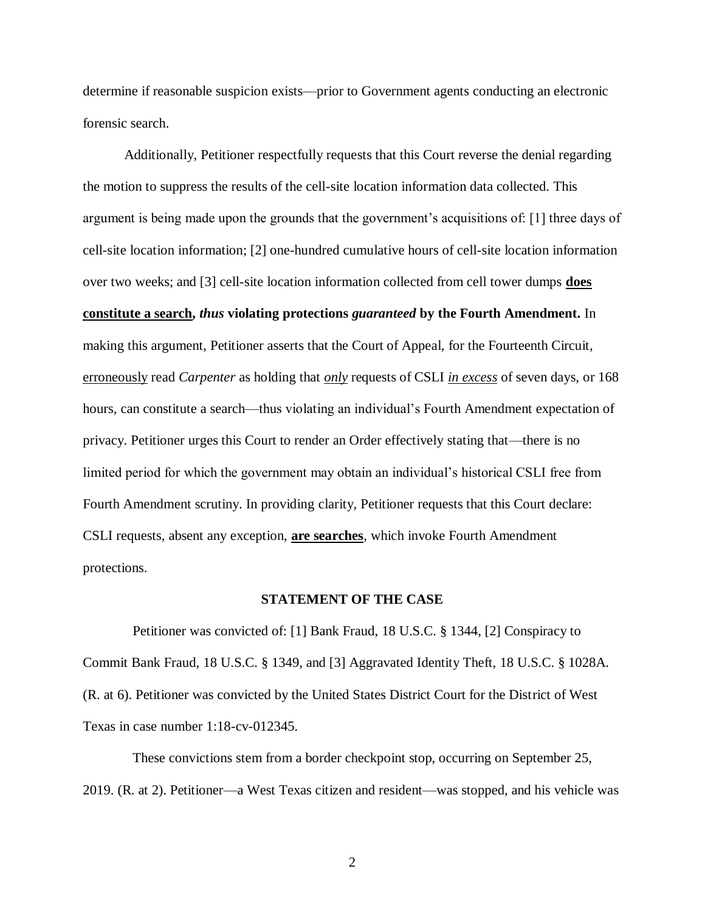determine if reasonable suspicion exists—prior to Government agents conducting an electronic forensic search.

Additionally, Petitioner respectfully requests that this Court reverse the denial regarding the motion to suppress the results of the cell-site location information data collected. This argument is being made upon the grounds that the government's acquisitions of: [1] three days of cell-site location information; [2] one-hundred cumulative hours of cell-site location information over two weeks; and [3] cell-site location information collected from cell tower dumps **does constitute a search,** *thus* **violating protections** *guaranteed* **by the Fourth Amendment.** In making this argument, Petitioner asserts that the Court of Appeal, for the Fourteenth Circuit, erroneously read *Carpenter* as holding that *only* requests of CSLI *in excess* of seven days, or 168 hours, can constitute a search—thus violating an individual's Fourth Amendment expectation of privacy. Petitioner urges this Court to render an Order effectively stating that—there is no limited period for which the government may obtain an individual's historical CSLI free from Fourth Amendment scrutiny. In providing clarity, Petitioner requests that this Court declare: CSLI requests, absent any exception, **are searches**, which invoke Fourth Amendment protections.

#### **STATEMENT OF THE CASE**

Petitioner was convicted of: [1] Bank Fraud, 18 U.S.C. § 1344, [2] Conspiracy to Commit Bank Fraud, 18 U.S.C. § 1349, and [3] Aggravated Identity Theft, 18 U.S.C. § 1028A. (R. at 6). Petitioner was convicted by the United States District Court for the District of West Texas in case number 1:18-cv-012345.

These convictions stem from a border checkpoint stop, occurring on September 25, 2019. (R. at 2). Petitioner—a West Texas citizen and resident—was stopped, and his vehicle was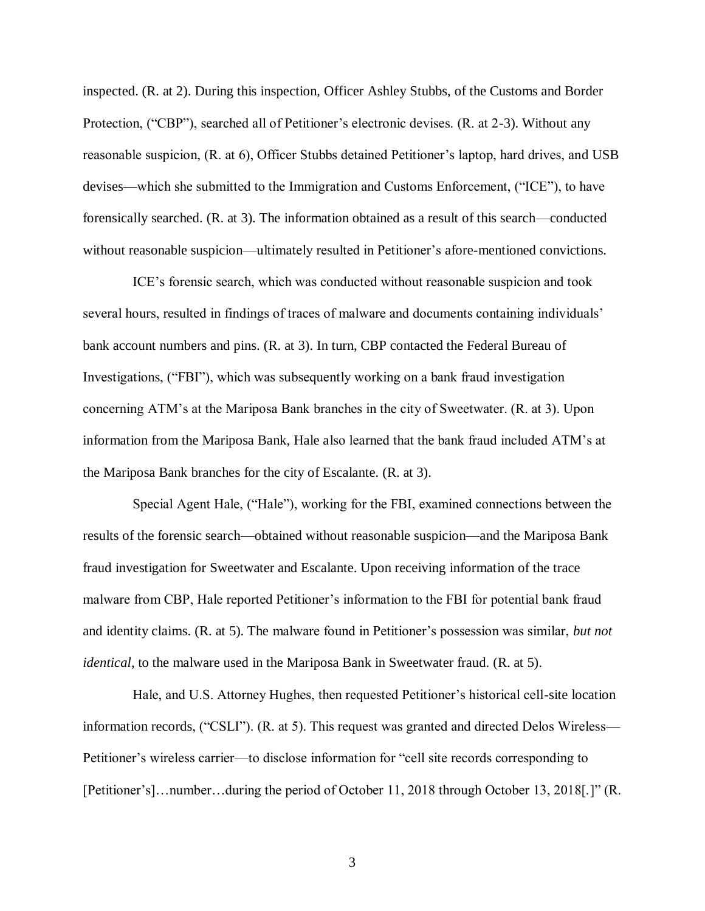inspected. (R. at 2). During this inspection, Officer Ashley Stubbs, of the Customs and Border Protection, ("CBP"), searched all of Petitioner's electronic devises. (R. at 2-3). Without any reasonable suspicion, (R. at 6), Officer Stubbs detained Petitioner's laptop, hard drives, and USB devises—which she submitted to the Immigration and Customs Enforcement, ("ICE"), to have forensically searched. (R. at 3). The information obtained as a result of this search—conducted without reasonable suspicion—ultimately resulted in Petitioner's afore-mentioned convictions.

ICE's forensic search, which was conducted without reasonable suspicion and took several hours, resulted in findings of traces of malware and documents containing individuals' bank account numbers and pins. (R. at 3). In turn, CBP contacted the Federal Bureau of Investigations, ("FBI"), which was subsequently working on a bank fraud investigation concerning ATM's at the Mariposa Bank branches in the city of Sweetwater. (R. at 3). Upon information from the Mariposa Bank, Hale also learned that the bank fraud included ATM's at the Mariposa Bank branches for the city of Escalante. (R. at 3).

Special Agent Hale, ("Hale"), working for the FBI, examined connections between the results of the forensic search—obtained without reasonable suspicion—and the Mariposa Bank fraud investigation for Sweetwater and Escalante. Upon receiving information of the trace malware from CBP, Hale reported Petitioner's information to the FBI for potential bank fraud and identity claims. (R. at 5). The malware found in Petitioner's possession was similar, *but not identical*, to the malware used in the Mariposa Bank in Sweetwater fraud. (R. at 5).

Hale, and U.S. Attorney Hughes, then requested Petitioner's historical cell-site location information records, ("CSLI"). (R. at 5). This request was granted and directed Delos Wireless— Petitioner's wireless carrier—to disclose information for "cell site records corresponding to [Petitioner's]…number…during the period of October 11, 2018 through October 13, 2018[.]" (R.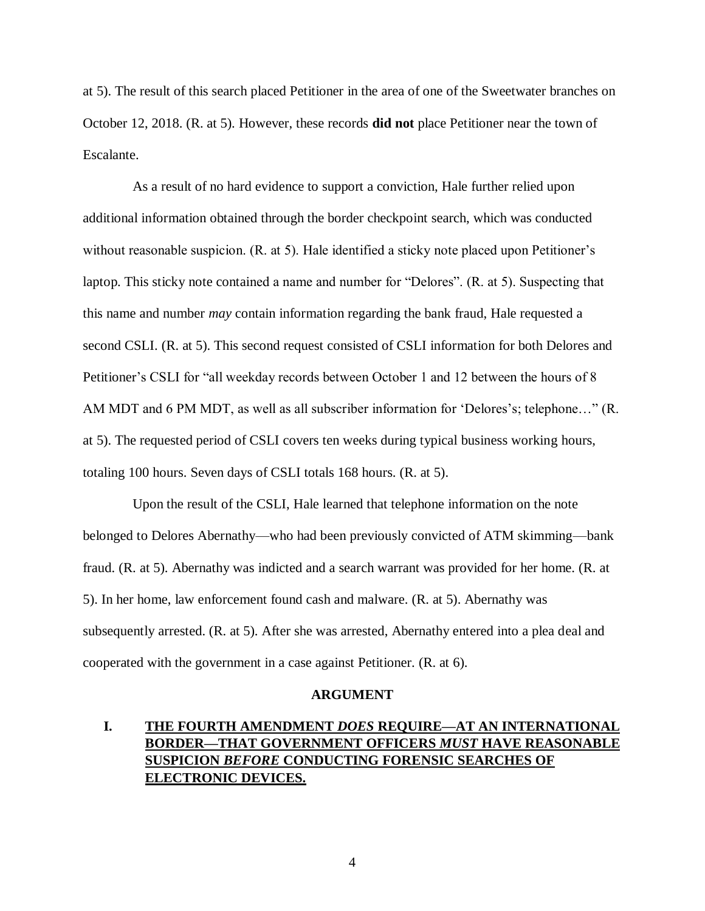at 5). The result of this search placed Petitioner in the area of one of the Sweetwater branches on October 12, 2018. (R. at 5). However, these records **did not** place Petitioner near the town of Escalante.

As a result of no hard evidence to support a conviction, Hale further relied upon additional information obtained through the border checkpoint search, which was conducted without reasonable suspicion. (R. at 5). Hale identified a sticky note placed upon Petitioner's laptop. This sticky note contained a name and number for "Delores". (R. at 5). Suspecting that this name and number *may* contain information regarding the bank fraud, Hale requested a second CSLI. (R. at 5). This second request consisted of CSLI information for both Delores and Petitioner's CSLI for "all weekday records between October 1 and 12 between the hours of 8 AM MDT and 6 PM MDT, as well as all subscriber information for 'Delores's; telephone…" (R. at 5). The requested period of CSLI covers ten weeks during typical business working hours, totaling 100 hours. Seven days of CSLI totals 168 hours. (R. at 5).

Upon the result of the CSLI, Hale learned that telephone information on the note belonged to Delores Abernathy—who had been previously convicted of ATM skimming—bank fraud. (R. at 5). Abernathy was indicted and a search warrant was provided for her home. (R. at 5). In her home, law enforcement found cash and malware. (R. at 5). Abernathy was subsequently arrested. (R. at 5). After she was arrested, Abernathy entered into a plea deal and cooperated with the government in a case against Petitioner. (R. at 6).

#### **ARGUMENT**

# **I. THE FOURTH AMENDMENT** *DOES* **REQUIRE—AT AN INTERNATIONAL BORDER—THAT GOVERNMENT OFFICERS** *MUST* **HAVE REASONABLE SUSPICION** *BEFORE* **CONDUCTING FORENSIC SEARCHES OF ELECTRONIC DEVICES.**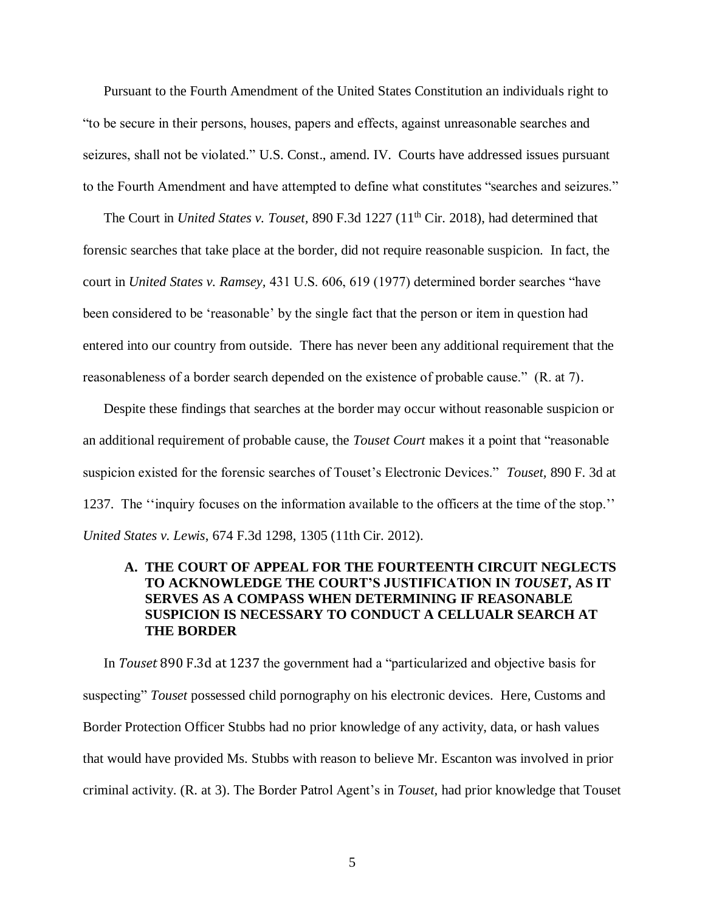Pursuant to the Fourth Amendment of the United States Constitution an individuals right to "to be secure in their persons, houses, papers and effects, against unreasonable searches and seizures, shall not be violated." U.S. Const., amend. IV.Courts have addressed issues pursuant to the Fourth Amendment and have attempted to define what constitutes "searches and seizures."

The Court in *United States v. Touset*, 890 F.3d 1227 (11<sup>th</sup> Cir. 2018), had determined that forensic searches that take place at the border, did not require reasonable suspicion. In fact, the court in *United States v. Ramsey,* 431 U.S. 606, 619 (1977) determined border searches "have been considered to be 'reasonable' by the single fact that the person or item in question had entered into our country from outside. There has never been any additional requirement that the reasonableness of a border search depended on the existence of probable cause." (R. at 7).

Despite these findings that searches at the border may occur without reasonable suspicion or an additional requirement of probable cause, the *Touset Court* makes it a point that "reasonable suspicion existed for the forensic searches of Touset's Electronic Devices." *Touset,* 890 F. 3d at 1237. The ''inquiry focuses on the information available to the officers at the time of the stop.'' *United States v. Lewis*, 674 F.3d 1298, 1305 (11th Cir. 2012).

# **A. THE COURT OF APPEAL FOR THE FOURTEENTH CIRCUIT NEGLECTS TO ACKNOWLEDGE THE COURT'S JUSTIFICATION IN** *TOUSET***, AS IT SERVES AS A COMPASS WHEN DETERMINING IF REASONABLE SUSPICION IS NECESSARY TO CONDUCT A CELLUALR SEARCH AT THE BORDER**

In *Touset* 890 F.3d at 1237 the government had a "particularized and objective basis for suspecting" *Touset* possessed child pornography on his electronic devices. Here, Customs and Border Protection Officer Stubbs had no prior knowledge of any activity, data, or hash values that would have provided Ms. Stubbs with reason to believe Mr. Escanton was involved in prior criminal activity. (R. at 3). The Border Patrol Agent's in *Touset,* had prior knowledge that Touset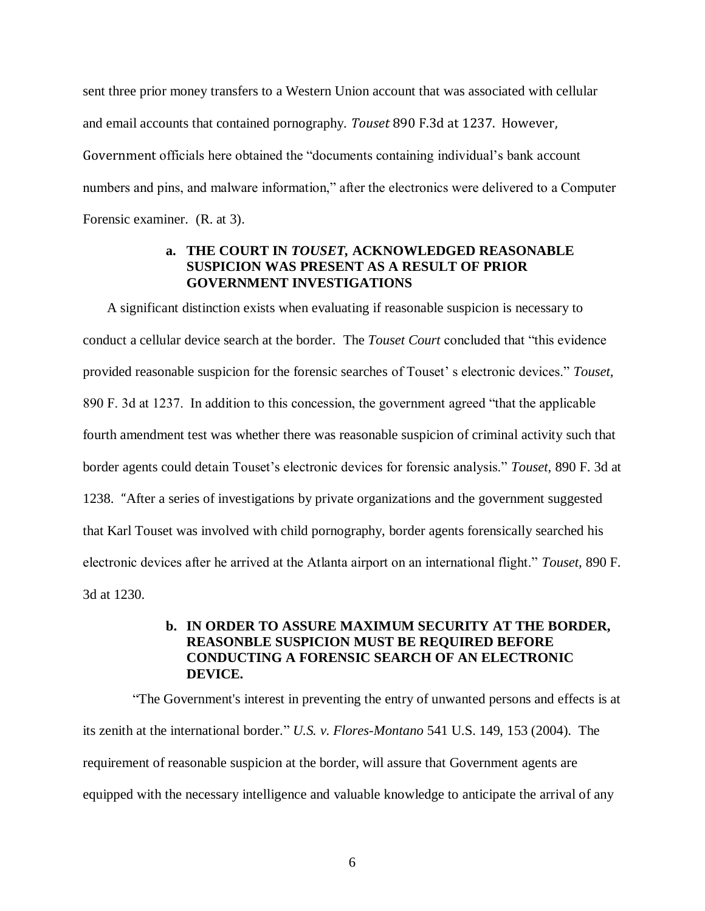sent three prior money transfers to a Western Union account that was associated with cellular and email accounts that contained pornography. *Touset* 890 F.3d at 1237. However, Government officials here obtained the "documents containing individual's bank account numbers and pins, and malware information," after the electronics were delivered to a Computer Forensic examiner. (R. at 3).

### **a. THE COURT IN** *TOUSET,* **ACKNOWLEDGED REASONABLE SUSPICION WAS PRESENT AS A RESULT OF PRIOR GOVERNMENT INVESTIGATIONS**

A significant distinction exists when evaluating if reasonable suspicion is necessary to conduct a cellular device search at the border. The *Touset Court* concluded that "this evidence provided reasonable suspicion for the forensic searches of Touset' s electronic devices." *Touset,* 890 F. 3d at 1237. In addition to this concession, the government agreed "that the applicable fourth amendment test was whether there was reasonable suspicion of criminal activity such that border agents could detain Touset's electronic devices for forensic analysis." *Touset,* 890 F. 3d at 1238. "After a series of investigations by private organizations and the government suggested that Karl Touset was involved with child pornography, border agents forensically searched his electronic devices after he arrived at the Atlanta airport on an international flight." *Touset,* 890 F. 3d at 1230.

# **b. IN ORDER TO ASSURE MAXIMUM SECURITY AT THE BORDER, REASONBLE SUSPICION MUST BE REQUIRED BEFORE CONDUCTING A FORENSIC SEARCH OF AN ELECTRONIC DEVICE.**

"The Government's interest in preventing the entry of unwanted persons and effects is at its zenith at the international border." *U.S. v. Flores-Montano* 541 U.S. 149, 153 (2004). The requirement of reasonable suspicion at the border, will assure that Government agents are equipped with the necessary intelligence and valuable knowledge to anticipate the arrival of any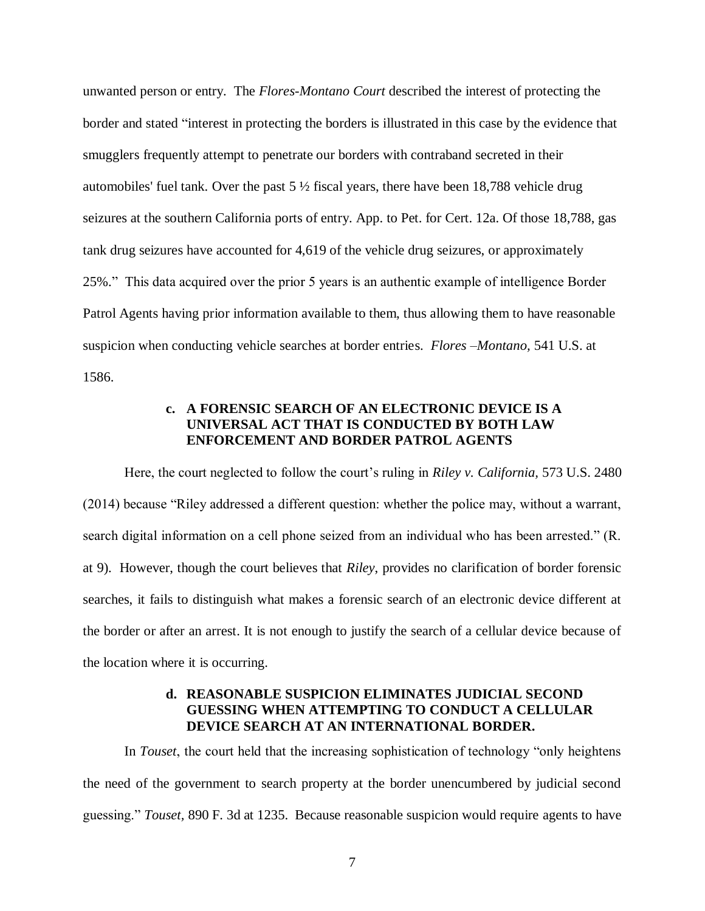unwanted person or entry. The *Flores-Montano Court* described the interest of protecting the border and stated "interest in protecting the borders is illustrated in this case by the evidence that smugglers frequently attempt to penetrate our borders with contraband secreted in their automobiles' fuel tank. Over the past  $5\frac{1}{2}$  fiscal years, there have been 18,788 vehicle drug seizures at the southern California ports of entry. App. to Pet. for Cert. 12a. Of those 18,788, gas tank drug seizures have accounted for 4,619 of the vehicle drug seizures, or approximately 25%." This data acquired over the prior 5 years is an authentic example of intelligence Border Patrol Agents having prior information available to them, thus allowing them to have reasonable suspicion when conducting vehicle searches at border entries. *Flores –Montano,* 541 U.S. at 1586.

## **c. A FORENSIC SEARCH OF AN ELECTRONIC DEVICE IS A UNIVERSAL ACT THAT IS CONDUCTED BY BOTH LAW ENFORCEMENT AND BORDER PATROL AGENTS**

Here, the court neglected to follow the court's ruling in *Riley v. California,* 573 U.S. 2480 (2014) because "Riley addressed a different question: whether the police may, without a warrant, search digital information on a cell phone seized from an individual who has been arrested." (R. at 9). However, though the court believes that *Riley*, provides no clarification of border forensic searches, it fails to distinguish what makes a forensic search of an electronic device different at the border or after an arrest. It is not enough to justify the search of a cellular device because of the location where it is occurring.

### **d. REASONABLE SUSPICION ELIMINATES JUDICIAL SECOND GUESSING WHEN ATTEMPTING TO CONDUCT A CELLULAR DEVICE SEARCH AT AN INTERNATIONAL BORDER.**

In *Touset*, the court held that the increasing sophistication of technology "only heightens the need of the government to search property at the border unencumbered by judicial second guessing." *Touset,* 890 F. 3d at 1235. Because reasonable suspicion would require agents to have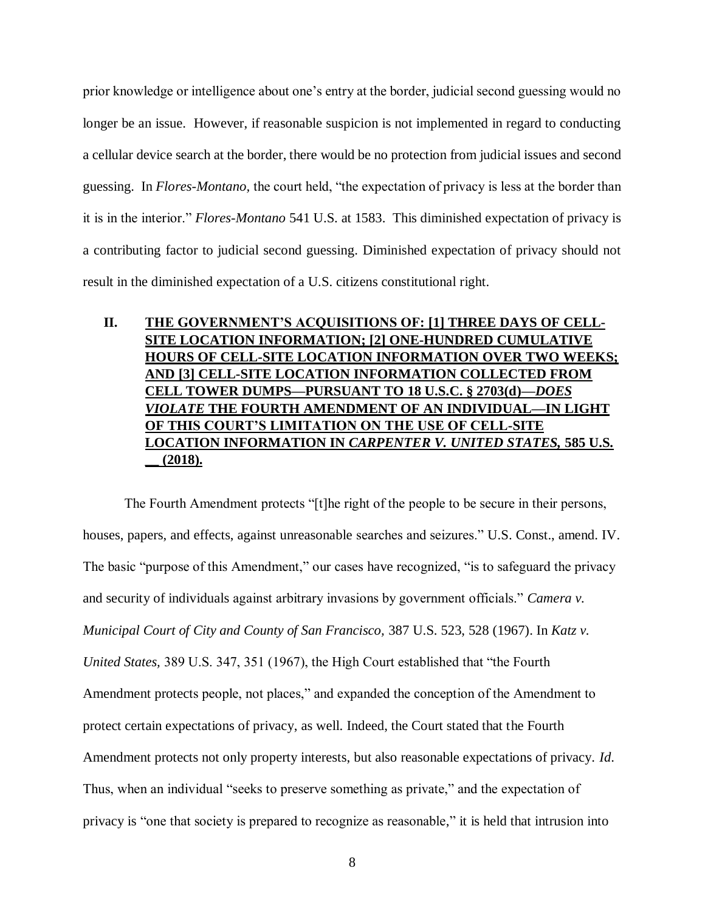prior knowledge or intelligence about one's entry at the border, judicial second guessing would no longer be an issue. However, if reasonable suspicion is not implemented in regard to conducting a cellular device search at the border, there would be no protection from judicial issues and second guessing. In *Flores-Montano,* the court held, "the expectation of privacy is less at the border than it is in the interior." *Flores-Montano* 541 U.S. at 1583. This diminished expectation of privacy is a contributing factor to judicial second guessing. Diminished expectation of privacy should not result in the diminished expectation of a U.S. citizens constitutional right.

# **II. THE GOVERNMENT'S ACQUISITIONS OF: [1] THREE DAYS OF CELL-SITE LOCATION INFORMATION; [2] ONE-HUNDRED CUMULATIVE HOURS OF CELL-SITE LOCATION INFORMATION OVER TWO WEEKS; AND [3] CELL-SITE LOCATION INFORMATION COLLECTED FROM CELL TOWER DUMPS—PURSUANT TO 18 U.S.C. § 2703(d)—***DOES VIOLATE* **THE FOURTH AMENDMENT OF AN INDIVIDUAL—IN LIGHT OF THIS COURT'S LIMITATION ON THE USE OF CELL-SITE LOCATION INFORMATION IN** *CARPENTER V. UNITED STATES,* **585 U.S. \_\_ (2018).**

The Fourth Amendment protects "[t]he right of the people to be secure in their persons, houses, papers, and effects, against unreasonable searches and seizures." U.S. Const., amend. IV. The basic "purpose of this Amendment," our cases have recognized, "is to safeguard the privacy and security of individuals against arbitrary invasions by government officials." *Camera v. Municipal Court of City and County of San Francisco,* 387 U.S. 523, 528 (1967). In *Katz v. United States,* 389 U.S. 347, 351 (1967), the High Court established that "the Fourth Amendment protects people, not places," and expanded the conception of the Amendment to protect certain expectations of privacy, as well. Indeed, the Court stated that the Fourth Amendment protects not only property interests, but also reasonable expectations of privacy. *Id*. Thus, when an individual "seeks to preserve something as private," and the expectation of privacy is "one that society is prepared to recognize as reasonable," it is held that intrusion into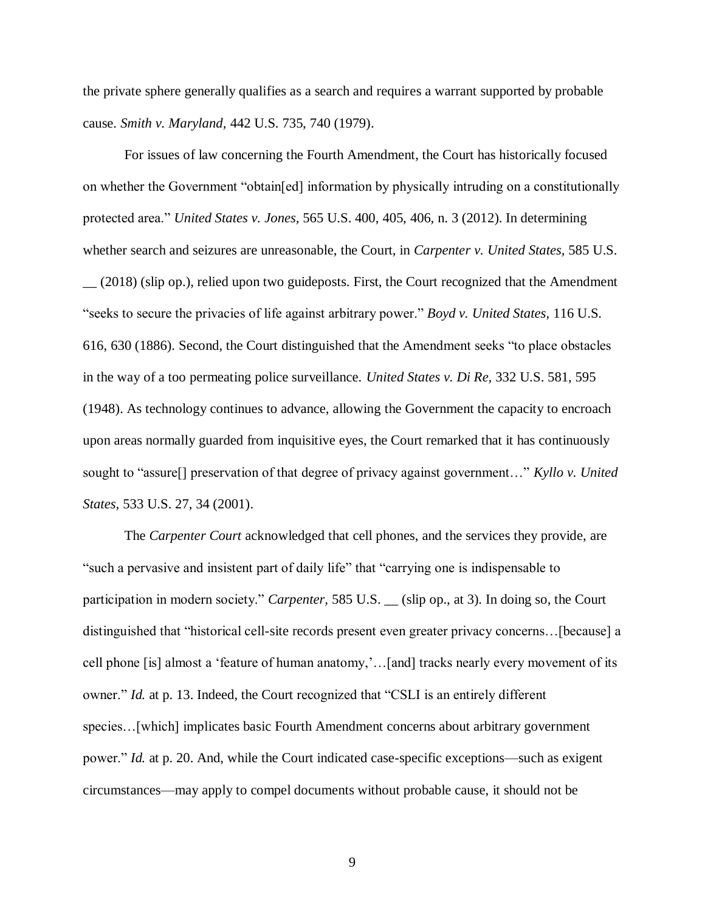the private sphere generally qualifies as a search and requires a warrant supported by probable cause. *Smith v. Maryland,* 442 U.S. 735, 740 (1979).

For issues of law concerning the Fourth Amendment, the Court has historically focused on whether the Government "obtain[ed] information by physically intruding on a constitutionally protected area." *United States v. Jones,* 565 U.S. 400, 405, 406, n. 3 (2012). In determining whether search and seizures are unreasonable, the Court, in *Carpenter v. United States*, 585 U.S. \_\_ (2018) (slip op.), relied upon two guideposts. First, the Court recognized that the Amendment "seeks to secure the privacies of life against arbitrary power." *Boyd v. United States,* 116 U.S. 616, 630 (1886). Second, the Court distinguished that the Amendment seeks "to place obstacles in the way of a too permeating police surveillance. *United States v. Di Re,* 332 U.S. 581, 595 (1948). As technology continues to advance, allowing the Government the capacity to encroach upon areas normally guarded from inquisitive eyes, the Court remarked that it has continuously sought to "assure[] preservation of that degree of privacy against government…" *Kyllo v. United States,* 533 U.S. 27, 34 (2001).

The *Carpenter Court* acknowledged that cell phones, and the services they provide, are "such a pervasive and insistent part of daily life" that "carrying one is indispensable to participation in modern society." *Carpenter*, 585 U.S. (slip op., at 3). In doing so, the Court distinguished that "historical cell-site records present even greater privacy concerns…[because] a cell phone [is] almost a 'feature of human anatomy,'…[and] tracks nearly every movement of its owner." *Id.* at p. 13. Indeed, the Court recognized that "CSLI is an entirely different species…[which] implicates basic Fourth Amendment concerns about arbitrary government power." *Id.* at p. 20. And, while the Court indicated case-specific exceptions—such as exigent circumstances—may apply to compel documents without probable cause, it should not be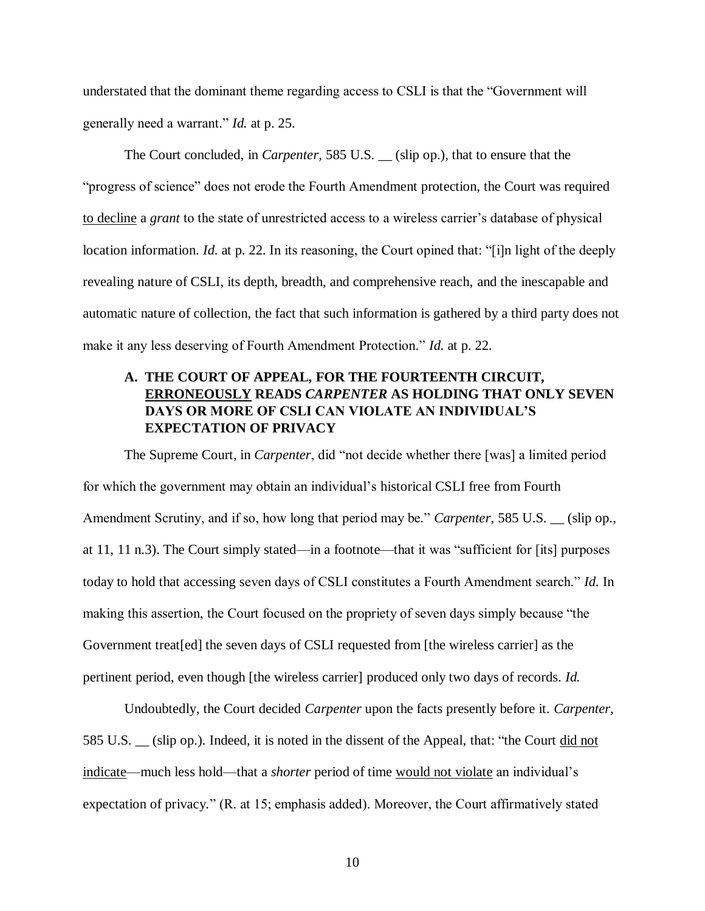understated that the dominant theme regarding access to CSLI is that the "Government will generally need a warrant." *Id.* at p. 25.

The Court concluded, in *Carpenter,* 585 U.S. \_\_ (slip op.), that to ensure that the "progress of science" does not erode the Fourth Amendment protection, the Court was required to decline a *grant* to the state of unrestricted access to a wireless carrier's database of physical location information. *Id.* at p. 22. In its reasoning, the Court opined that: "[i]n light of the deeply revealing nature of CSLI, its depth, breadth, and comprehensive reach, and the inescapable and automatic nature of collection, the fact that such information is gathered by a third party does not make it any less deserving of Fourth Amendment Protection." *Id.* at p. 22.

# **A. THE COURT OF APPEAL, FOR THE FOURTEENTH CIRCUIT, ERRONEOUSLY READS** *CARPENTER* **AS HOLDING THAT ONLY SEVEN DAYS OR MORE OF CSLI CAN VIOLATE AN INDIVIDUAL'S EXPECTATION OF PRIVACY**

The Supreme Court, in *Carpenter*, did "not decide whether there [was] a limited period for which the government may obtain an individual's historical CSLI free from Fourth Amendment Scrutiny, and if so, how long that period may be." *Carpenter*, 585 U.S. (slip op., at 11, 11 n.3). The Court simply stated—in a footnote—that it was "sufficient for [its] purposes today to hold that accessing seven days of CSLI constitutes a Fourth Amendment search." *Id.* In making this assertion, the Court focused on the propriety of seven days simply because "the Government treat[ed] the seven days of CSLI requested from [the wireless carrier] as the pertinent period, even though [the wireless carrier] produced only two days of records. *Id.*

Undoubtedly, the Court decided *Carpenter* upon the facts presently before it. *Carpenter,*  585 U.S. \_\_ (slip op.). Indeed, it is noted in the dissent of the Appeal, that: "the Court did not indicate—much less hold—that a *shorter* period of time would not violate an individual's expectation of privacy." (R. at 15; emphasis added). Moreover, the Court affirmatively stated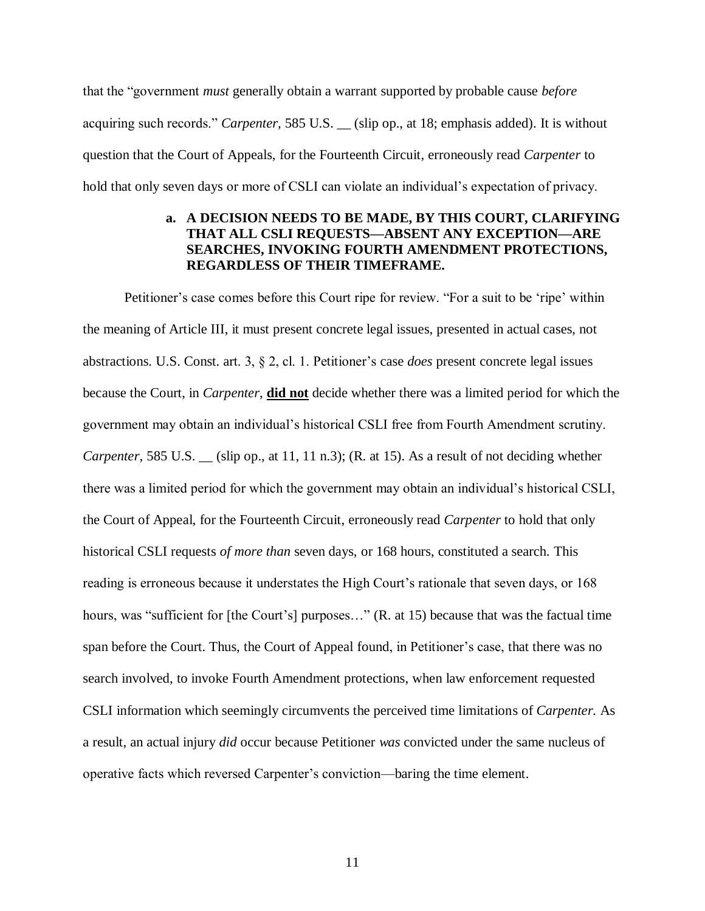that the "government *must* generally obtain a warrant supported by probable cause *before* acquiring such records." *Carpenter,* 585 U.S. \_\_ (slip op., at 18; emphasis added). It is without question that the Court of Appeals, for the Fourteenth Circuit, erroneously read *Carpenter* to hold that only seven days or more of CSLI can violate an individual's expectation of privacy.

# **a. A DECISION NEEDS TO BE MADE, BY THIS COURT, CLARIFYING THAT ALL CSLI REQUESTS—ABSENT ANY EXCEPTION—ARE SEARCHES, INVOKING FOURTH AMENDMENT PROTECTIONS, REGARDLESS OF THEIR TIMEFRAME.**

Petitioner's case comes before this Court ripe for review. "For a suit to be 'ripe' within the meaning of Article III, it must present concrete legal issues, presented in actual cases, not abstractions. U.S. Const. art. 3, § 2, cl. 1. Petitioner's case *does* present concrete legal issues because the Court, in *Carpenter*, **did not** decide whether there was a limited period for which the government may obtain an individual's historical CSLI free from Fourth Amendment scrutiny. *Carpenter,* 585 U.S. (slip op., at 11, 11 n.3); (R. at 15). As a result of not deciding whether there was a limited period for which the government may obtain an individual's historical CSLI, the Court of Appeal, for the Fourteenth Circuit, erroneously read *Carpenter* to hold that only historical CSLI requests *of more than* seven days, or 168 hours, constituted a search. This reading is erroneous because it understates the High Court's rationale that seven days, or 168 hours, was "sufficient for [the Court's] purposes..." (R. at 15) because that was the factual time span before the Court. Thus, the Court of Appeal found, in Petitioner's case, that there was no search involved, to invoke Fourth Amendment protections, when law enforcement requested CSLI information which seemingly circumvents the perceived time limitations of *Carpenter.* As a result, an actual injury *did* occur because Petitioner *was* convicted under the same nucleus of operative facts which reversed Carpenter's conviction—baring the time element.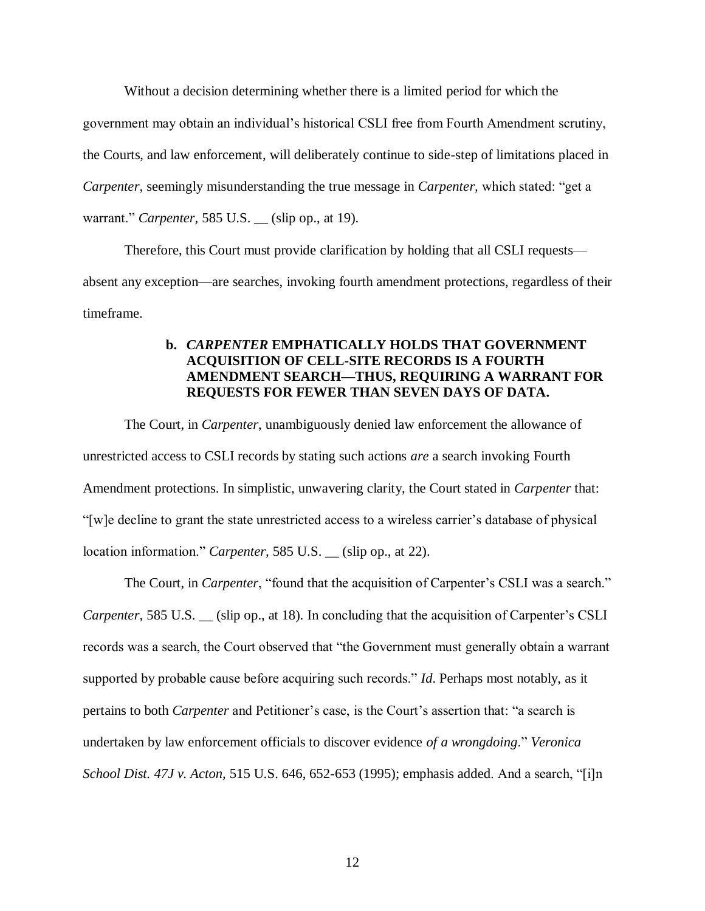Without a decision determining whether there is a limited period for which the government may obtain an individual's historical CSLI free from Fourth Amendment scrutiny, the Courts, and law enforcement, will deliberately continue to side-step of limitations placed in *Carpenter,* seemingly misunderstanding the true message in *Carpenter,* which stated: "get a warrant." *Carpenter,* 585 U.S. \_\_ (slip op., at 19).

Therefore, this Court must provide clarification by holding that all CSLI requests absent any exception—are searches, invoking fourth amendment protections, regardless of their timeframe.

## **b.** *CARPENTER* **EMPHATICALLY HOLDS THAT GOVERNMENT ACQUISITION OF CELL-SITE RECORDS IS A FOURTH AMENDMENT SEARCH—THUS, REQUIRING A WARRANT FOR REQUESTS FOR FEWER THAN SEVEN DAYS OF DATA.**

The Court, in *Carpenter*, unambiguously denied law enforcement the allowance of unrestricted access to CSLI records by stating such actions *are* a search invoking Fourth Amendment protections. In simplistic, unwavering clarity, the Court stated in *Carpenter* that: "[w]e decline to grant the state unrestricted access to a wireless carrier's database of physical location information." *Carpenter,* 585 U.S. \_\_ (slip op., at 22).

The Court, in *Carpenter*, "found that the acquisition of Carpenter's CSLI was a search." *Carpenter,* 585 U.S. \_\_ (slip op., at 18). In concluding that the acquisition of Carpenter's CSLI records was a search, the Court observed that "the Government must generally obtain a warrant supported by probable cause before acquiring such records." *Id*. Perhaps most notably, as it pertains to both *Carpenter* and Petitioner's case, is the Court's assertion that: "a search is undertaken by law enforcement officials to discover evidence *of a wrongdoing*." *Veronica School Dist. 47J v. Acton,* 515 U.S. 646, 652-653 (1995); emphasis added. And a search, "[i]n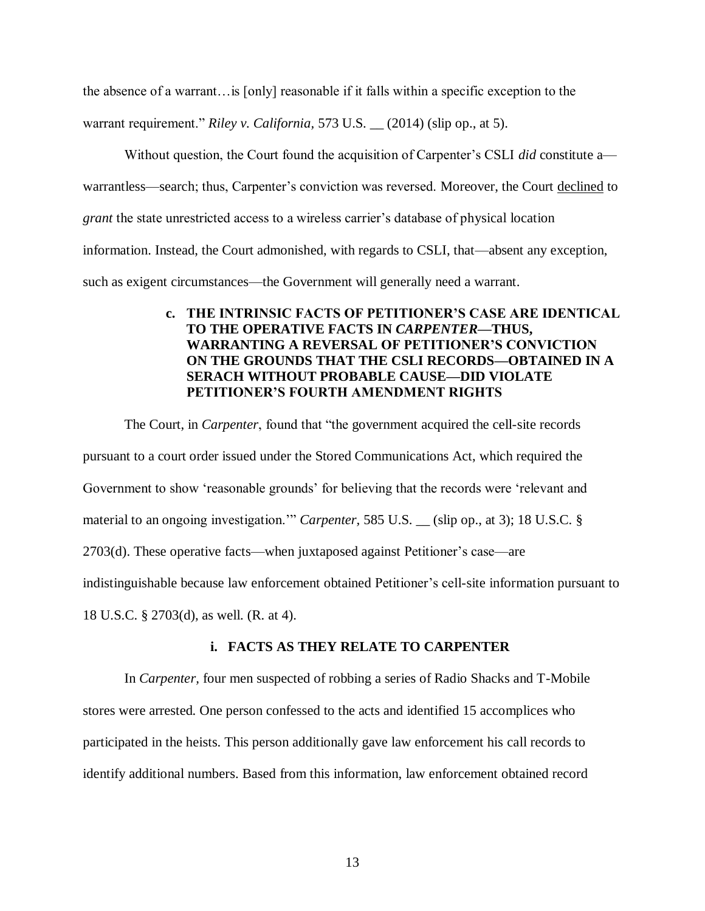the absence of a warrant…is [only] reasonable if it falls within a specific exception to the

warrant requirement." *Riley v. California,* 573 U.S. \_\_ (2014) (slip op., at 5).

Without question, the Court found the acquisition of Carpenter's CSLI *did* constitute a warrantless—search; thus, Carpenter's conviction was reversed. Moreover, the Court declined to *grant* the state unrestricted access to a wireless carrier's database of physical location information. Instead, the Court admonished, with regards to CSLI, that—absent any exception, such as exigent circumstances—the Government will generally need a warrant.

# **c. THE INTRINSIC FACTS OF PETITIONER'S CASE ARE IDENTICAL TO THE OPERATIVE FACTS IN** *CARPENTER***—THUS, WARRANTING A REVERSAL OF PETITIONER'S CONVICTION ON THE GROUNDS THAT THE CSLI RECORDS—OBTAINED IN A SERACH WITHOUT PROBABLE CAUSE—DID VIOLATE PETITIONER'S FOURTH AMENDMENT RIGHTS**

The Court, in *Carpenter*, found that "the government acquired the cell-site records pursuant to a court order issued under the Stored Communications Act, which required the Government to show 'reasonable grounds' for believing that the records were 'relevant and material to an ongoing investigation." *Carpenter*, 585 U.S. (slip op., at 3); 18 U.S.C. § 2703(d). These operative facts—when juxtaposed against Petitioner's case—are indistinguishable because law enforcement obtained Petitioner's cell-site information pursuant to 18 U.S.C. § 2703(d), as well. (R. at 4).

### **i. FACTS AS THEY RELATE TO CARPENTER**

In *Carpenter,* four men suspected of robbing a series of Radio Shacks and T-Mobile stores were arrested. One person confessed to the acts and identified 15 accomplices who participated in the heists. This person additionally gave law enforcement his call records to identify additional numbers. Based from this information, law enforcement obtained record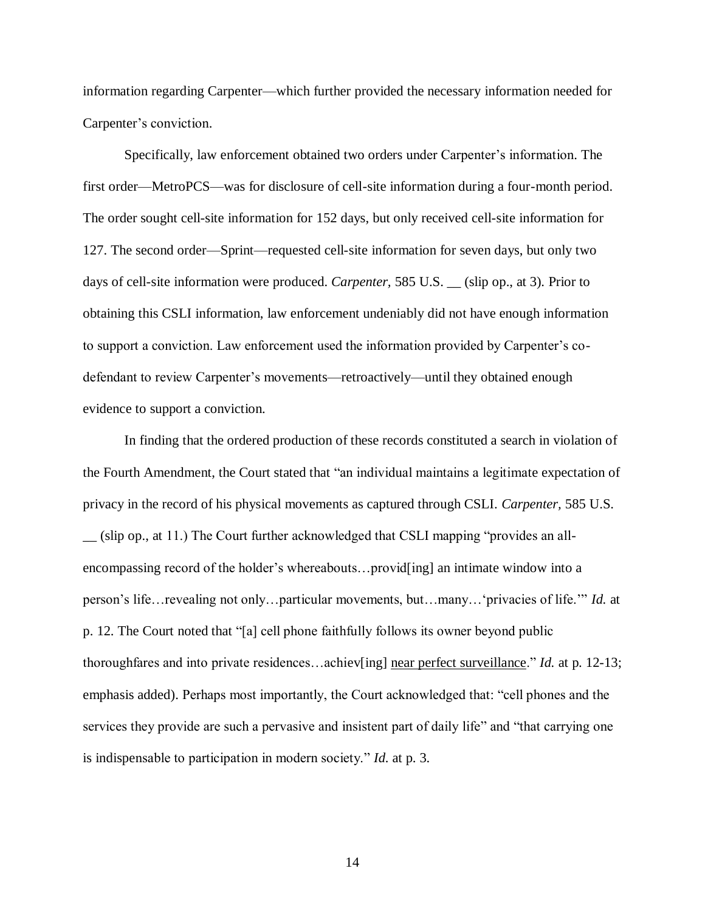information regarding Carpenter—which further provided the necessary information needed for Carpenter's conviction.

Specifically, law enforcement obtained two orders under Carpenter's information. The first order—MetroPCS—was for disclosure of cell-site information during a four-month period. The order sought cell-site information for 152 days, but only received cell-site information for 127. The second order—Sprint—requested cell-site information for seven days, but only two days of cell-site information were produced. *Carpenter,* 585 U.S. \_\_ (slip op., at 3). Prior to obtaining this CSLI information, law enforcement undeniably did not have enough information to support a conviction. Law enforcement used the information provided by Carpenter's codefendant to review Carpenter's movements—retroactively—until they obtained enough evidence to support a conviction.

In finding that the ordered production of these records constituted a search in violation of the Fourth Amendment, the Court stated that "an individual maintains a legitimate expectation of privacy in the record of his physical movements as captured through CSLI. *Carpenter,* 585 U.S. \_\_ (slip op., at 11.) The Court further acknowledged that CSLI mapping "provides an allencompassing record of the holder's whereabouts…provid[ing] an intimate window into a person's life…revealing not only…particular movements, but…many…'privacies of life.'" *Id.* at p. 12. The Court noted that "[a] cell phone faithfully follows its owner beyond public thoroughfares and into private residences…achiev[ing] near perfect surveillance." *Id.* at p. 12-13; emphasis added). Perhaps most importantly, the Court acknowledged that: "cell phones and the services they provide are such a pervasive and insistent part of daily life" and "that carrying one is indispensable to participation in modern society." *Id.* at p. 3.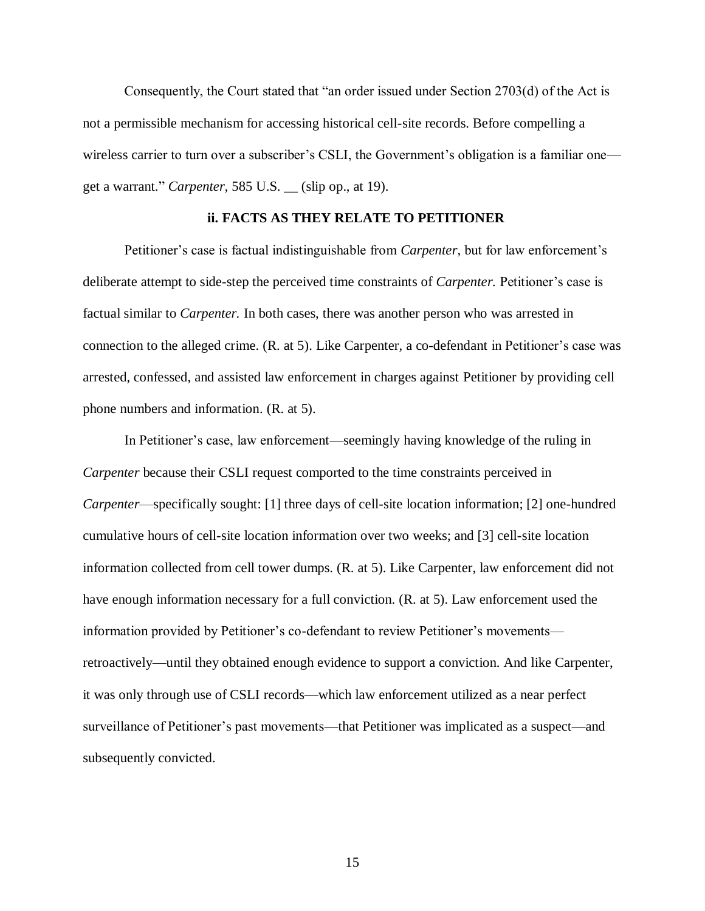Consequently, the Court stated that "an order issued under Section 2703(d) of the Act is not a permissible mechanism for accessing historical cell-site records. Before compelling a wireless carrier to turn over a subscriber's CSLI, the Government's obligation is a familiar one get a warrant." *Carpenter,* 585 U.S. \_\_ (slip op., at 19).

### **ii. FACTS AS THEY RELATE TO PETITIONER**

Petitioner's case is factual indistinguishable from *Carpenter,* but for law enforcement's deliberate attempt to side-step the perceived time constraints of *Carpenter.* Petitioner's case is factual similar to *Carpenter.* In both cases, there was another person who was arrested in connection to the alleged crime. (R. at 5). Like Carpenter*,* a co-defendant in Petitioner's case was arrested, confessed, and assisted law enforcement in charges against Petitioner by providing cell phone numbers and information. (R. at 5).

In Petitioner's case, law enforcement—seemingly having knowledge of the ruling in *Carpenter* because their CSLI request comported to the time constraints perceived in *Carpenter*—specifically sought: [1] three days of cell-site location information; [2] one-hundred cumulative hours of cell-site location information over two weeks; and [3] cell-site location information collected from cell tower dumps. (R. at 5). Like Carpenter, law enforcement did not have enough information necessary for a full conviction. (R. at 5). Law enforcement used the information provided by Petitioner's co-defendant to review Petitioner's movements retroactively—until they obtained enough evidence to support a conviction. And like Carpenter, it was only through use of CSLI records—which law enforcement utilized as a near perfect surveillance of Petitioner's past movements—that Petitioner was implicated as a suspect—and subsequently convicted.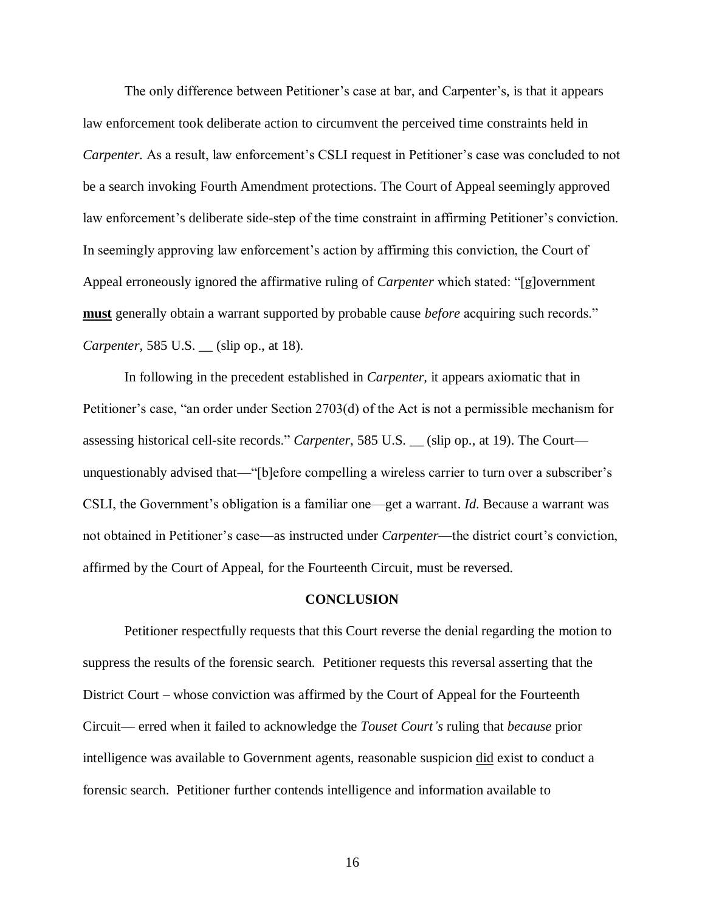The only difference between Petitioner's case at bar, and Carpenter's, is that it appears law enforcement took deliberate action to circumvent the perceived time constraints held in *Carpenter.* As a result, law enforcement's CSLI request in Petitioner's case was concluded to not be a search invoking Fourth Amendment protections. The Court of Appeal seemingly approved law enforcement's deliberate side-step of the time constraint in affirming Petitioner's conviction. In seemingly approving law enforcement's action by affirming this conviction, the Court of Appeal erroneously ignored the affirmative ruling of *Carpenter* which stated: "[g]overnment **must** generally obtain a warrant supported by probable cause *before* acquiring such records." *Carpenter,* 585 U.S. \_\_ (slip op., at 18).

In following in the precedent established in *Carpenter,* it appears axiomatic that in Petitioner's case, "an order under Section 2703(d) of the Act is not a permissible mechanism for assessing historical cell-site records." *Carpenter,* 585 U.S. \_\_ (slip op., at 19). The Court unquestionably advised that—"[b]efore compelling a wireless carrier to turn over a subscriber's CSLI, the Government's obligation is a familiar one—get a warrant. *Id*. Because a warrant was not obtained in Petitioner's case—as instructed under *Carpenter*—the district court's conviction, affirmed by the Court of Appeal, for the Fourteenth Circuit, must be reversed.

#### **CONCLUSION**

Petitioner respectfully requests that this Court reverse the denial regarding the motion to suppress the results of the forensic search. Petitioner requests this reversal asserting that the District Court – whose conviction was affirmed by the Court of Appeal for the Fourteenth Circuit— erred when it failed to acknowledge the *Touset Court's* ruling that *because* prior intelligence was available to Government agents, reasonable suspicion did exist to conduct a forensic search. Petitioner further contends intelligence and information available to